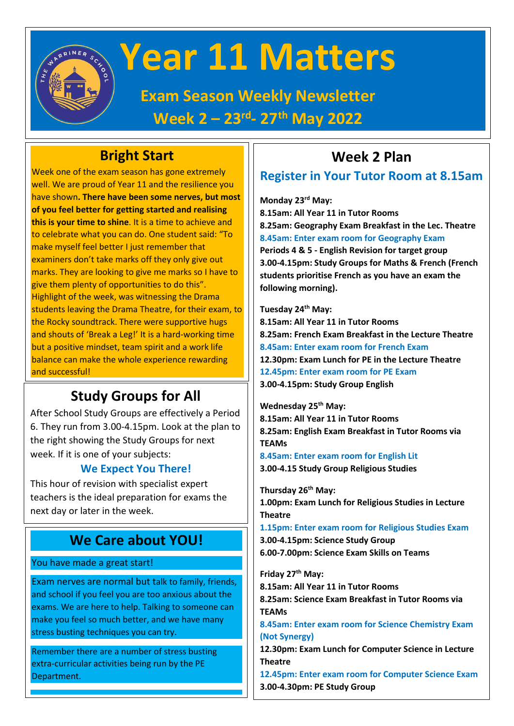

# **Year 11 Matters**

**Exam Season Weekly Newsletter Week 2 – 23rd - 27th May 2022**

### **Bright Start**

Week one of the exam season has gone extremely well. We are proud of Year 11 and the resilience you have shown**. There have been some nerves, but most of you feel better for getting started and realising this is your time to shine**. It is a time to achieve and to celebrate what you can do. One student said: "To make myself feel better I just remember that examiners don't take marks off they only give out marks. They are looking to give me marks so I have to give them plenty of opportunities to do this". Highlight of the week, was witnessing the Drama students leaving the Drama Theatre, for their exam, to the Rocky soundtrack. There were supportive hugs and shouts of 'Break a Leg!' It is a hard-working time but a positive mindset, team spirit and a work life balance can make the whole experience rewarding and successful!

# **Study Groups for All**

After School Study Groups are effectively a Period 6. They run from 3.00-4.15pm. Look at the plan to the right showing the Study Groups for next week. If it is one of your subjects:

#### **We Expect You There!**

This hour of revision with specialist expert teachers is the ideal preparation for exams the next day or later in the week.

#### **We Care about YOU!**

You have made a great start!

Exam nerves are normal but talk to family, friends, and school if you feel you are too anxious about the exams. We are here to help. Talking to someone can make you feel so much better, and we have many stress busting techniques you can try.

Remember there are a number of stress busting extra-curricular activities being run by the PE Department.

# **Week 2 Plan**

#### **Register in Your Tutor Room at 8.15am**

**Monday 23rd May:**

**8.15am: All Year 11 in Tutor Rooms 8.25am: Geography Exam Breakfast in the Lec. Theatre 8.45am: Enter exam room for Geography Exam Periods 4 & 5 - English Revision for target group 3.00-4.15pm: Study Groups for Maths & French (French students prioritise French as you have an exam the following morning).**

**Tuesday 24th May: 8.15am: All Year 11 in Tutor Rooms 8.25am: French Exam Breakfast in the Lecture Theatre 8.45am: Enter exam room for French Exam 12.30pm: Exam Lunch for PE in the Lecture Theatre 12.45pm: Enter exam room for PE Exam 3.00-4.15pm: Study Group English**

**Wednesday 25th May: 8.15am: All Year 11 in Tutor Rooms 8.25am: English Exam Breakfast in Tutor Rooms via TEAMs 8.45am: Enter exam room for English Lit**

**3.00-4.15 Study Group Religious Studies**

**Thursday 26th May: 1.00pm: Exam Lunch for Religious Studies in Lecture Theatre**

**1.15pm: Enter exam room for Religious Studies Exam 3.00-4.15pm: Science Study Group 6.00-7.00pm: Science Exam Skills on Teams**

**Friday 27th May:**

**8.15am: All Year 11 in Tutor Rooms 8.25am: Science Exam Breakfast in Tutor Rooms via TEAMs**

**8.45am: Enter exam room for Science Chemistry Exam (Not Synergy)**

**12.30pm: Exam Lunch for Computer Science in Lecture Theatre**

**12.45pm: Enter exam room for Computer Science Exam 3.00-4.30pm: PE Study Group**